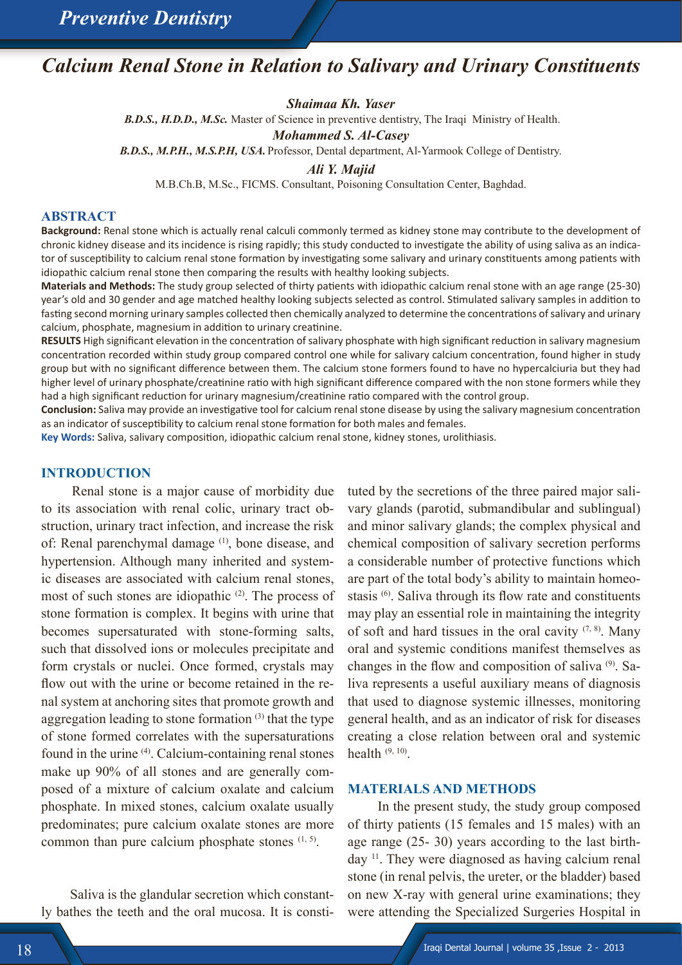# *Calcium Renal Stone in Relation to Salivary and Urinary Constituents*

*Shaimaa Kh. Yaser* 

 *B.D.S., H.D.D., M.Sc.* Master of Science in preventive dentistry, The Iraqi Ministry of Health.

*Mohammed S. Al-Casey* 

*B.D.S., M.P.H., M.S.P.H, USA.* Professor, Dental department, Al-Yarmook College of Dentistry.

*Ali Y. Majid* 

M.B.Ch.B, M.Sc., FICMS. Consultant, Poisoning Consultation Center, Baghdad.

#### **ABSTRACT**

**Background:** Renal stone which is actually renal calculi commonly termed as kidney stone may contribute to the development of chronic kidney disease and its incidence is rising rapidly; this study conducted to investigate the ability of using saliva as an indicator of susceptibility to calcium renal stone formation by investigating some salivary and urinary constituents among patients with idiopathic calcium renal stone then comparing the results with healthy looking subjects.

**Materials and Methods:** The study group selected of thirty patients with idiopathic calcium renal stone with an age range (25-30) year's old and 30 gender and age matched healthy looking subjects selected as control. Stimulated salivary samples in addition to fasting second morning urinary samples collected then chemically analyzed to determine the concentrations of salivary and urinary calcium, phosphate, magnesium in addition to urinary creatinine.

**RESULTS** High significant elevation in the concentration of salivary phosphate with high significant reduction in salivary magnesium concentration recorded within study group compared control one while for salivary calcium concentration, found higher in study group but with no significant difference between them. The calcium stone formers found to have no hypercalciuria but they had higher level of urinary phosphate/creatinine ratio with high significant difference compared with the non stone formers while they had a high significant reduction for urinary magnesium/creatinine ratio compared with the control group.

**Conclusion:** Saliva may provide an investigative tool for calcium renal stone disease by using the salivary magnesium concentration as an indicator of susceptibility to calcium renal stone formation for both males and females.

**Key Words:** Saliva, salivary composition, idiopathic calcium renal stone, kidney stones, urolithiasis.

#### **INTRODUCTION**

 Renal stone is a major cause of morbidity due to its association with renal colic, urinary tract obstruction, urinary tract infection, and increase the risk of: Renal parenchymal damage <sup>(1)</sup>, bone disease, and hypertension. Although many inherited and systemic diseases are associated with calcium renal stones, most of such stones are idiopathic  $(2)$ . The process of stone formation is complex. It begins with urine that becomes supersaturated with stone-forming salts, such that dissolved ions or molecules precipitate and form crystals or nuclei. Once formed, crystals may flow out with the urine or become retained in the renal system at anchoring sites that promote growth and aggregation leading to stone formation  $(3)$  that the type of stone formed correlates with the supersaturations found in the urine (4). Calcium-containing renal stones make up 90% of all stones and are generally composed of a mixture of calcium oxalate and calcium phosphate. In mixed stones, calcium oxalate usually predominates; pure calcium oxalate stones are more common than pure calcium phosphate stones  $(1, 5)$ .

 Saliva is the glandular secretion which constantly bathes the teeth and the oral mucosa. It is constituted by the secretions of the three paired major salivary glands (parotid, submandibular and sublingual) and minor salivary glands; the complex physical and chemical composition of salivary secretion performs a considerable number of protective functions which are part of the total body's ability to maintain homeostasis <sup>(6)</sup>. Saliva through its flow rate and constituents may play an essential role in maintaining the integrity of soft and hard tissues in the oral cavity  $(7, 8)$ . Many oral and systemic conditions manifest themselves as changes in the flow and composition of saliva (9). Saliva represents a useful auxiliary means of diagnosis that used to diagnose systemic illnesses, monitoring general health, and as an indicator of risk for diseases creating a close relation between oral and systemic health  $(9, 10)$ .

#### **MATERIALS AND METHODS**

 In the present study, the study group composed of thirty patients (15 females and 15 males) with an age range (25- 30) years according to the last birthday 11. They were diagnosed as having calcium renal stone (in renal pelvis, the ureter, or the bladder) based on new X-ray with general urine examinations; they were attending the Specialized Surgeries Hospital in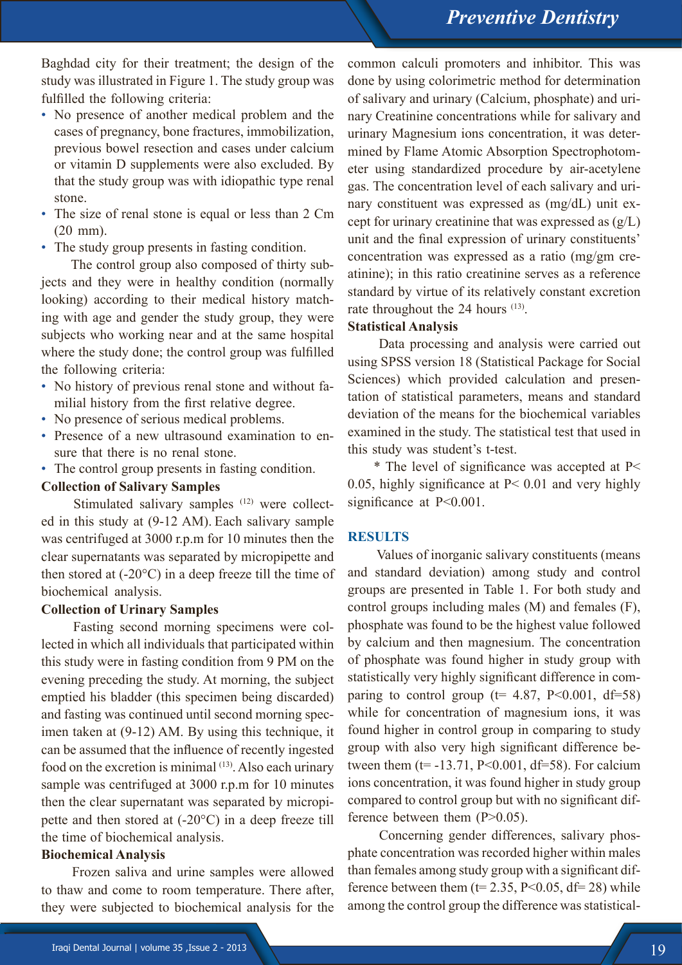Baghdad city for their treatment; the design of the study was illustrated in Figure 1. The study group was fulfilled the following criteria:

- No presence of another medical problem and the cases of pregnancy, bone fractures, immobilization, previous bowel resection and cases under calcium or vitamin D supplements were also excluded. By that the study group was with idiopathic type renal stone.
- The size of renal stone is equal or less than 2 Cm (20 mm).
- The study group presents in fasting condition.

 The control group also composed of thirty subjects and they were in healthy condition (normally looking) according to their medical history matching with age and gender the study group, they were subjects who working near and at the same hospital where the study done; the control group was fulfilled the following criteria:

- No history of previous renal stone and without familial history from the first relative degree.
- No presence of serious medical problems.
- Presence of a new ultrasound examination to ensure that there is no renal stone.
- The control group presents in fasting condition.

### **Collection of Salivary Samples**

Stimulated salivary samples <sup>(12)</sup> were collected in this study at (9-12 AM). Each salivary sample was centrifuged at 3000 r.p.m for 10 minutes then the clear supernatants was separated by micropipette and then stored at (-20°C) in a deep freeze till the time of biochemical analysis.

### **Collection of Urinary Samples**

 Fasting second morning specimens were collected in which all individuals that participated within this study were in fasting condition from 9 PM on the evening preceding the study. At morning, the subject emptied his bladder (this specimen being discarded) and fasting was continued until second morning specimen taken at (9-12) AM. By using this technique, it can be assumed that the influence of recently ingested food on the excretion is minimal (13). Also each urinary sample was centrifuged at 3000 r.p.m for 10 minutes then the clear supernatant was separated by micropipette and then stored at (-20°C) in a deep freeze till the time of biochemical analysis.

# **Biochemical Analysis**

Frozen saliva and urine samples were allowed to thaw and come to room temperature. There after, they were subjected to biochemical analysis for the

common calculi promoters and inhibitor. This was done by using colorimetric method for determination of salivary and urinary (Calcium, phosphate) and urinary Creatinine concentrations while for salivary and urinary Magnesium ions concentration, it was determined by Flame Atomic Absorption Spectrophotometer using standardized procedure by air-acetylene gas. The concentration level of each salivary and urinary constituent was expressed as (mg/dL) unit except for urinary creatinine that was expressed as  $(g/L)$ unit and the final expression of urinary constituents' concentration was expressed as a ratio (mg/gm creatinine); in this ratio creatinine serves as a reference standard by virtue of its relatively constant excretion rate throughout the 24 hours <sup>(13)</sup>.

## **Statistical Analysis**

 Data processing and analysis were carried out using SPSS version 18 (Statistical Package for Social Sciences) which provided calculation and presentation of statistical parameters, means and standard deviation of the means for the biochemical variables examined in the study. The statistical test that used in this study was student's t-test.

\* The level of significance was accepted at P< 0.05, highly significance at P< 0.01 and very highly significance at  $P<0.001$ .

# **RESULTS**

 Values of inorganic salivary constituents (means and standard deviation) among study and control groups are presented in Table 1. For both study and control groups including males (M) and females (F), phosphate was found to be the highest value followed by calcium and then magnesium. The concentration of phosphate was found higher in study group with statistically very highly significant difference in comparing to control group ( $t= 4.87$ , P<0.001, df=58) while for concentration of magnesium ions, it was found higher in control group in comparing to study group with also very high significant difference between them  $(t= -13.71, P<0.001, df=58)$ . For calcium ions concentration, it was found higher in study group compared to control group but with no significant difference between them  $(P>0.05)$ .

 Concerning gender differences, salivary phosphate concentration was recorded higher within males than females among study group with a significant difference between them ( $t= 2.35$ , P<0.05, df= 28) while among the control group the difference was statistical-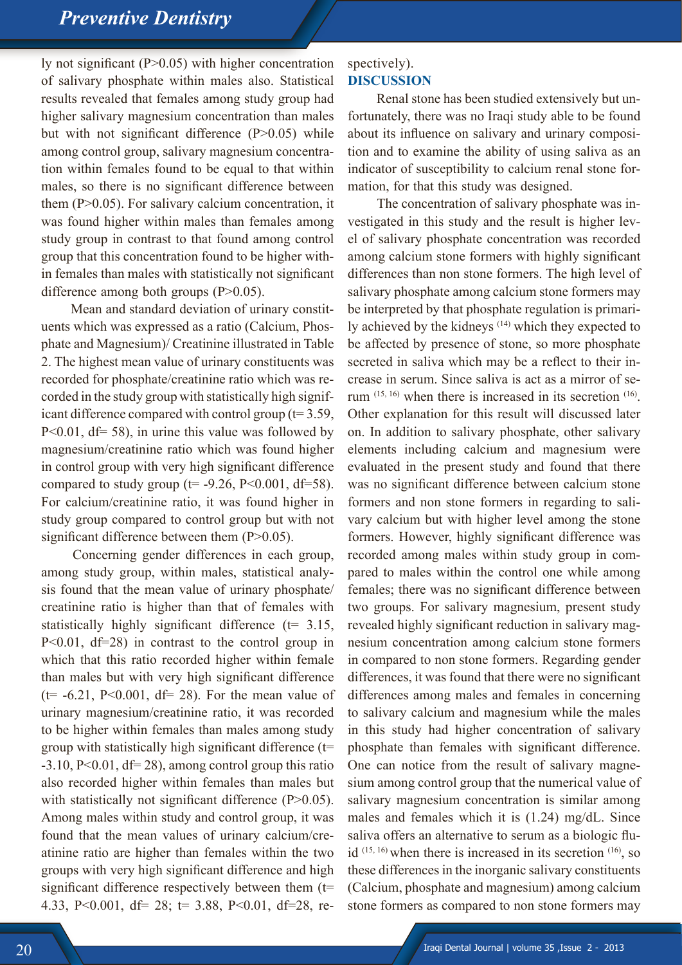# *Preventive Dentistry*

ly not significant (P>0.05) with higher concentration of salivary phosphate within males also. Statistical results revealed that females among study group had higher salivary magnesium concentration than males but with not significant difference  $(P>0.05)$  while among control group, salivary magnesium concentration within females found to be equal to that within males, so there is no significant difference between them (P>0.05). For salivary calcium concentration, it was found higher within males than females among study group in contrast to that found among control group that this concentration found to be higher within females than males with statistically not significant difference among both groups  $(P>0.05)$ .

 Mean and standard deviation of urinary constituents which was expressed as a ratio (Calcium, Phosphate and Magnesium)/ Creatinine illustrated in Table 2. The highest mean value of urinary constituents was recorded for phosphate/creatinine ratio which was recorded in the study group with statistically high significant difference compared with control group (t= 3.59,  $P<0.01$ , df= 58), in urine this value was followed by magnesium/creatinine ratio which was found higher in control group with very high significant difference compared to study group ( $t=$  -9.26, P<0.001, df=58). For calcium/creatinine ratio, it was found higher in study group compared to control group but with not significant difference between them (P>0.05).

 Concerning gender differences in each group, among study group, within males, statistical analysis found that the mean value of urinary phosphate/ creatinine ratio is higher than that of females with statistically highly significant difference  $(t= 3.15,$ P<0.01, df=28) in contrast to the control group in which that this ratio recorded higher within female than males but with very high significant difference ( $t$  = -6.21, P<0.001, df = 28). For the mean value of urinary magnesium/creatinine ratio, it was recorded to be higher within females than males among study group with statistically high significant difference  $(t=$  $-3.10$ , P<0.01, df= 28), among control group this ratio also recorded higher within females than males but with statistically not significant difference (P>0.05). Among males within study and control group, it was found that the mean values of urinary calcium/creatinine ratio are higher than females within the two groups with very high significant difference and high significant difference respectively between them (t= 4.33, P<0.001, df= 28; t= 3.88, P<0.01, df=28, re-

#### spectively). **DISCUSSION**

 Renal stone has been studied extensively but unfortunately, there was no Iraqi study able to be found about its influence on salivary and urinary composition and to examine the ability of using saliva as an indicator of susceptibility to calcium renal stone formation, for that this study was designed.

 The concentration of salivary phosphate was investigated in this study and the result is higher level of salivary phosphate concentration was recorded among calcium stone formers with highly significant differences than non stone formers. The high level of salivary phosphate among calcium stone formers may be interpreted by that phosphate regulation is primarily achieved by the kidneys (14) which they expected to be affected by presence of stone, so more phosphate secreted in saliva which may be a reflect to their increase in serum. Since saliva is act as a mirror of serum  $(15, 16)$  when there is increased in its secretion  $(16)$ . Other explanation for this result will discussed later on. In addition to salivary phosphate, other salivary elements including calcium and magnesium were evaluated in the present study and found that there was no significant difference between calcium stone formers and non stone formers in regarding to salivary calcium but with higher level among the stone formers. However, highly significant difference was recorded among males within study group in compared to males within the control one while among females; there was no significant difference between two groups. For salivary magnesium, present study revealed highly significant reduction in salivary magnesium concentration among calcium stone formers in compared to non stone formers. Regarding gender differences, it was found that there were no significant differences among males and females in concerning to salivary calcium and magnesium while the males in this study had higher concentration of salivary phosphate than females with significant difference. One can notice from the result of salivary magnesium among control group that the numerical value of salivary magnesium concentration is similar among males and females which it is (1.24) mg/dL. Since saliva offers an alternative to serum as a biologic fluid  $(15, 16)$  when there is increased in its secretion  $(16)$ , so these differences in the inorganic salivary constituents (Calcium, phosphate and magnesium) among calcium stone formers as compared to non stone formers may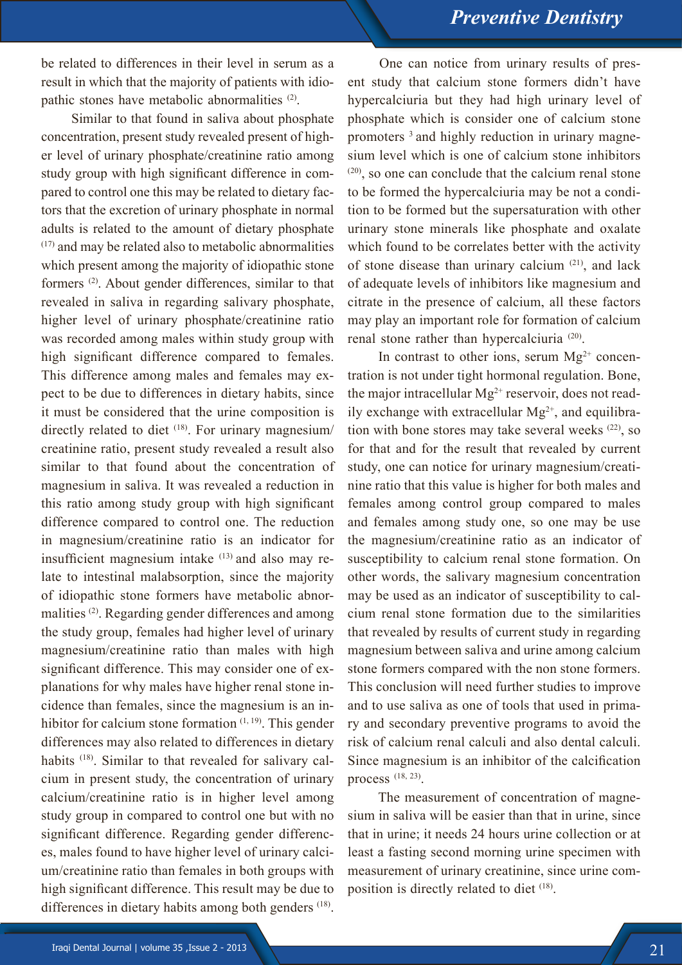be related to differences in their level in serum as a result in which that the majority of patients with idiopathic stones have metabolic abnormalities (2).

 Similar to that found in saliva about phosphate concentration, present study revealed present of higher level of urinary phosphate/creatinine ratio among study group with high significant difference in compared to control one this may be related to dietary factors that the excretion of urinary phosphate in normal adults is related to the amount of dietary phosphate (17) and may be related also to metabolic abnormalities which present among the majority of idiopathic stone formers (2). About gender differences, similar to that revealed in saliva in regarding salivary phosphate, higher level of urinary phosphate/creatinine ratio was recorded among males within study group with high significant difference compared to females. This difference among males and females may expect to be due to differences in dietary habits, since it must be considered that the urine composition is directly related to diet <sup>(18)</sup>. For urinary magnesium/ creatinine ratio, present study revealed a result also similar to that found about the concentration of magnesium in saliva. It was revealed a reduction in this ratio among study group with high significant difference compared to control one. The reduction in magnesium/creatinine ratio is an indicator for insufficient magnesium intake  $(13)$  and also may relate to intestinal malabsorption, since the majority of idiopathic stone formers have metabolic abnormalities (2). Regarding gender differences and among the study group, females had higher level of urinary magnesium/creatinine ratio than males with high significant difference. This may consider one of explanations for why males have higher renal stone incidence than females, since the magnesium is an inhibitor for calcium stone formation  $(1, 19)$ . This gender differences may also related to differences in dietary habits <sup>(18)</sup>. Similar to that revealed for salivary calcium in present study, the concentration of urinary calcium/creatinine ratio is in higher level among study group in compared to control one but with no significant difference. Regarding gender differences, males found to have higher level of urinary calcium/creatinine ratio than females in both groups with high significant difference. This result may be due to differences in dietary habits among both genders (18).

 One can notice from urinary results of present study that calcium stone formers didn't have hypercalciuria but they had high urinary level of phosphate which is consider one of calcium stone promoters 3 and highly reduction in urinary magnesium level which is one of calcium stone inhibitors (20), so one can conclude that the calcium renal stone to be formed the hypercalciuria may be not a condition to be formed but the supersaturation with other urinary stone minerals like phosphate and oxalate which found to be correlates better with the activity of stone disease than urinary calcium (21), and lack of adequate levels of inhibitors like magnesium and citrate in the presence of calcium, all these factors may play an important role for formation of calcium renal stone rather than hypercalciuria<sup>(20)</sup>.

In contrast to other ions, serum  $Mg^{2+}$  concentration is not under tight hormonal regulation. Bone, the major intracellular  $Mg^{2+}$  reservoir, does not readily exchange with extracellular  $Mg^{2+}$ , and equilibration with bone stores may take several weeks  $(22)$ , so for that and for the result that revealed by current study, one can notice for urinary magnesium/creatinine ratio that this value is higher for both males and females among control group compared to males and females among study one, so one may be use the magnesium/creatinine ratio as an indicator of susceptibility to calcium renal stone formation. On other words, the salivary magnesium concentration may be used as an indicator of susceptibility to calcium renal stone formation due to the similarities that revealed by results of current study in regarding magnesium between saliva and urine among calcium stone formers compared with the non stone formers. This conclusion will need further studies to improve and to use saliva as one of tools that used in primary and secondary preventive programs to avoid the risk of calcium renal calculi and also dental calculi. Since magnesium is an inhibitor of the calcification process (18, 23).

 The measurement of concentration of magnesium in saliva will be easier than that in urine, since that in urine; it needs 24 hours urine collection or at least a fasting second morning urine specimen with measurement of urinary creatinine, since urine composition is directly related to diet (18).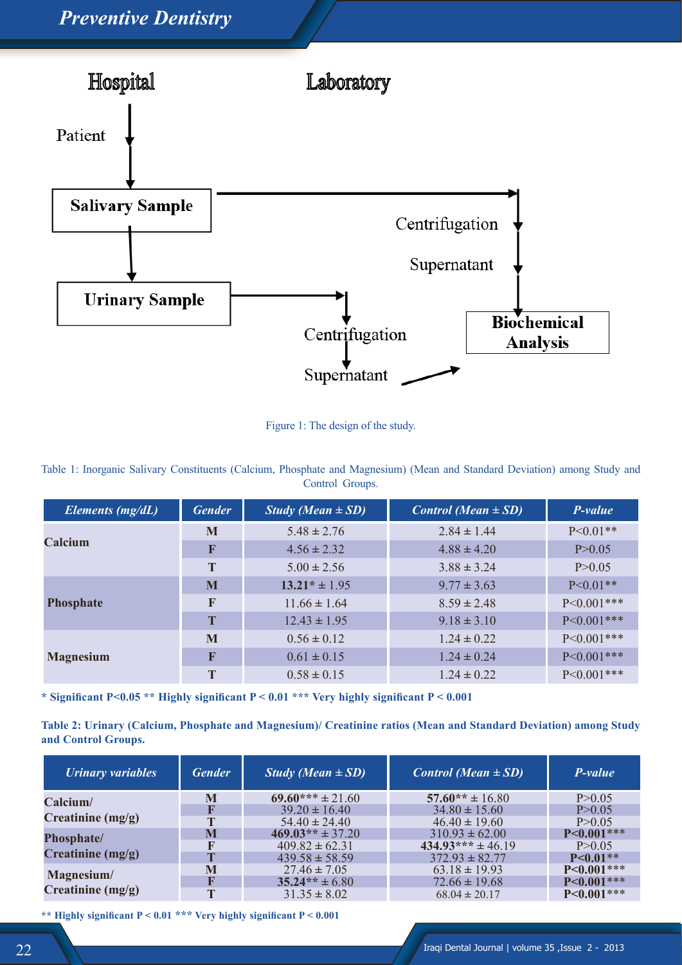

Figure 1: The design of the study.

Table 1: Inorganic Salivary Constituents (Calcium, Phosphate and Magnesium) (Mean and Standard Deviation) among Study and Control Groups.

| Elements (mg/dL) | <b>Gender</b> | <i>Study (Mean</i> $\pm$ <i>SD)</i> | <i>Control</i> ( <i>Mean</i> $\pm$ <i>SD</i> ) | P-value         |
|------------------|---------------|-------------------------------------|------------------------------------------------|-----------------|
| Calcium          | M             | $5.48 \pm 2.76$                     | $2.84 \pm 1.44$                                | $P < 0.01$ **   |
|                  | F             | $4.56 \pm 2.32$                     | $4.88 \pm 4.20$                                | P > 0.05        |
|                  | T             | $5.00 \pm 2.56$                     | $3.88 \pm 3.24$                                | P > 0.05        |
| Phosphate        | M             | $13.21* \pm 1.95$                   | $9.77 \pm 3.63$                                | $P < 0.01**$    |
|                  | $\bf F$       | $11.66 \pm 1.64$                    | $8.59 \pm 2.48$                                | $P < 0.001$ *** |
|                  | T             | $12.43 \pm 1.95$                    | $9.18 \pm 3.10$                                | $P < 0.001$ *** |
| <b>Magnesium</b> | M             | $0.56 \pm 0.12$                     | $1.24 \pm 0.22$                                | $P < 0.001$ *** |
|                  | F             | $0.61 \pm 0.15$                     | $1.24 \pm 0.24$                                | $P < 0.001$ *** |
|                  | T             | $0.58 \pm 0.15$                     | $1.24 \pm 0.22$                                | $P < 0.001$ *** |

**\* Significant P<0.05 \*\* Highly significant P < 0.01 \*\*\* Very highly significant P < 0.001**

**Table 2: Urinary (Calcium, Phosphate and Magnesium)/ Creatinine ratios (Mean and Standard Deviation) among Study and Control Groups.**

| <b>Urinary variables</b>                 | <b>Gender</b> | <i>Study (Mean</i> $\pm$ <i>SD)</i> | <i>Control</i> ( <i>Mean</i> $\pm$ <i>SD</i> ) | P-value         |
|------------------------------------------|---------------|-------------------------------------|------------------------------------------------|-----------------|
| Calcium/<br>Creatinine $(mg/g)$          | M             | $69.60***$ ± 21.60                  | $57.60** \pm 16.80$                            | P>0.05          |
|                                          |               | $39.20 \pm 16.40$                   | $34.80 \pm 15.60$                              | P>0.05          |
|                                          | Т             | $54.40 \pm 24.40$                   | $46.40 \pm 19.60$                              | P>0.05          |
| <b>Phosphate/</b><br>Creatinine $(mg/g)$ | M             | $469.03** \pm 37.20$                | $310.93 \pm 62.00$                             | $P < 0.001***$  |
|                                          |               | $409.82 \pm 62.31$                  | $434.93*** \pm 46.19$                          | P>0.05          |
|                                          | $\mathbf{r}$  | $439.58 \pm 58.59$                  | $372.93 \pm 82.77$                             | $P<0.01**$      |
| Magnesium/<br>Creatinine $(mg/g)$        | M             | $27.46 \pm 7.05$                    | $63.18 \pm 19.93$                              | $P<0.001***$    |
|                                          |               | $35.24** \pm 6.80$                  | $72.66 \pm 19.68$                              | $P < 0.001$ *** |
|                                          | T             | $31.35 \pm 8.02$                    | $68.04 \pm 20.17$                              | $P < 0.001***$  |

**\*\* Highly significant P < 0.01 \*\*\* Very highly significant P < 0.001**